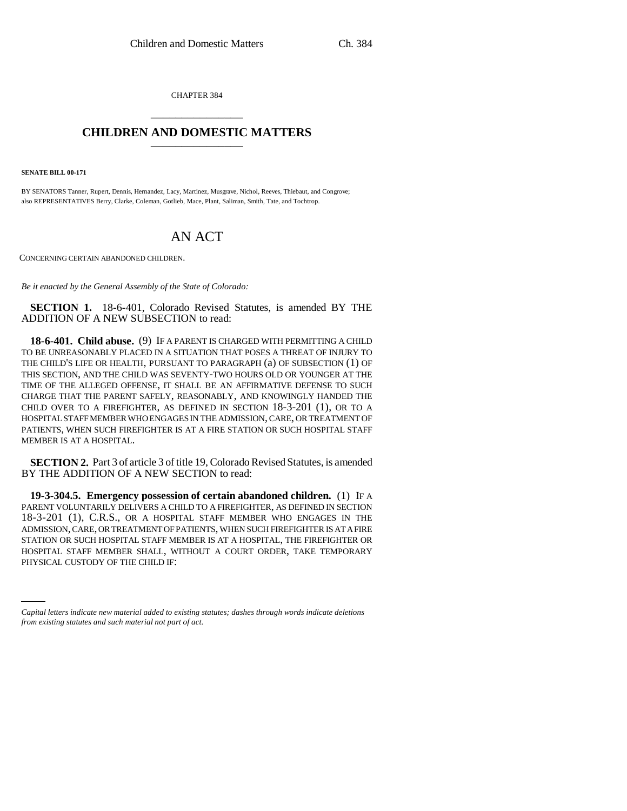CHAPTER 384 \_\_\_\_\_\_\_\_\_\_\_\_\_\_\_

## **CHILDREN AND DOMESTIC MATTERS** \_\_\_\_\_\_\_\_\_\_\_\_\_\_\_

**SENATE BILL 00-171** 

BY SENATORS Tanner, Rupert, Dennis, Hernandez, Lacy, Martinez, Musgrave, Nichol, Reeves, Thiebaut, and Congrove; also REPRESENTATIVES Berry, Clarke, Coleman, Gotlieb, Mace, Plant, Saliman, Smith, Tate, and Tochtrop.

## AN ACT

CONCERNING CERTAIN ABANDONED CHILDREN.

*Be it enacted by the General Assembly of the State of Colorado:*

**SECTION 1.** 18-6-401, Colorado Revised Statutes, is amended BY THE ADDITION OF A NEW SUBSECTION to read:

**18-6-401. Child abuse.** (9) IF A PARENT IS CHARGED WITH PERMITTING A CHILD TO BE UNREASONABLY PLACED IN A SITUATION THAT POSES A THREAT OF INJURY TO THE CHILD'S LIFE OR HEALTH, PURSUANT TO PARAGRAPH (a) OF SUBSECTION (1) OF THIS SECTION, AND THE CHILD WAS SEVENTY-TWO HOURS OLD OR YOUNGER AT THE TIME OF THE ALLEGED OFFENSE, IT SHALL BE AN AFFIRMATIVE DEFENSE TO SUCH CHARGE THAT THE PARENT SAFELY, REASONABLY, AND KNOWINGLY HANDED THE CHILD OVER TO A FIREFIGHTER, AS DEFINED IN SECTION 18-3-201 (1), OR TO A HOSPITAL STAFF MEMBER WHO ENGAGES IN THE ADMISSION, CARE, OR TREATMENT OF PATIENTS, WHEN SUCH FIREFIGHTER IS AT A FIRE STATION OR SUCH HOSPITAL STAFF MEMBER IS AT A HOSPITAL.

**SECTION 2.** Part 3 of article 3 of title 19, Colorado Revised Statutes, is amended BY THE ADDITION OF A NEW SECTION to read:

HOSPITAL STAFF MEMBER SHALL, WITHOUT A COURT ORDER, TAKE TEMPORARY **19-3-304.5. Emergency possession of certain abandoned children.** (1) IF A PARENT VOLUNTARILY DELIVERS A CHILD TO A FIREFIGHTER, AS DEFINED IN SECTION 18-3-201 (1), C.R.S., OR A HOSPITAL STAFF MEMBER WHO ENGAGES IN THE ADMISSION, CARE, OR TREATMENT OF PATIENTS, WHEN SUCH FIREFIGHTER IS AT A FIRE STATION OR SUCH HOSPITAL STAFF MEMBER IS AT A HOSPITAL, THE FIREFIGHTER OR PHYSICAL CUSTODY OF THE CHILD IF:

*Capital letters indicate new material added to existing statutes; dashes through words indicate deletions from existing statutes and such material not part of act.*